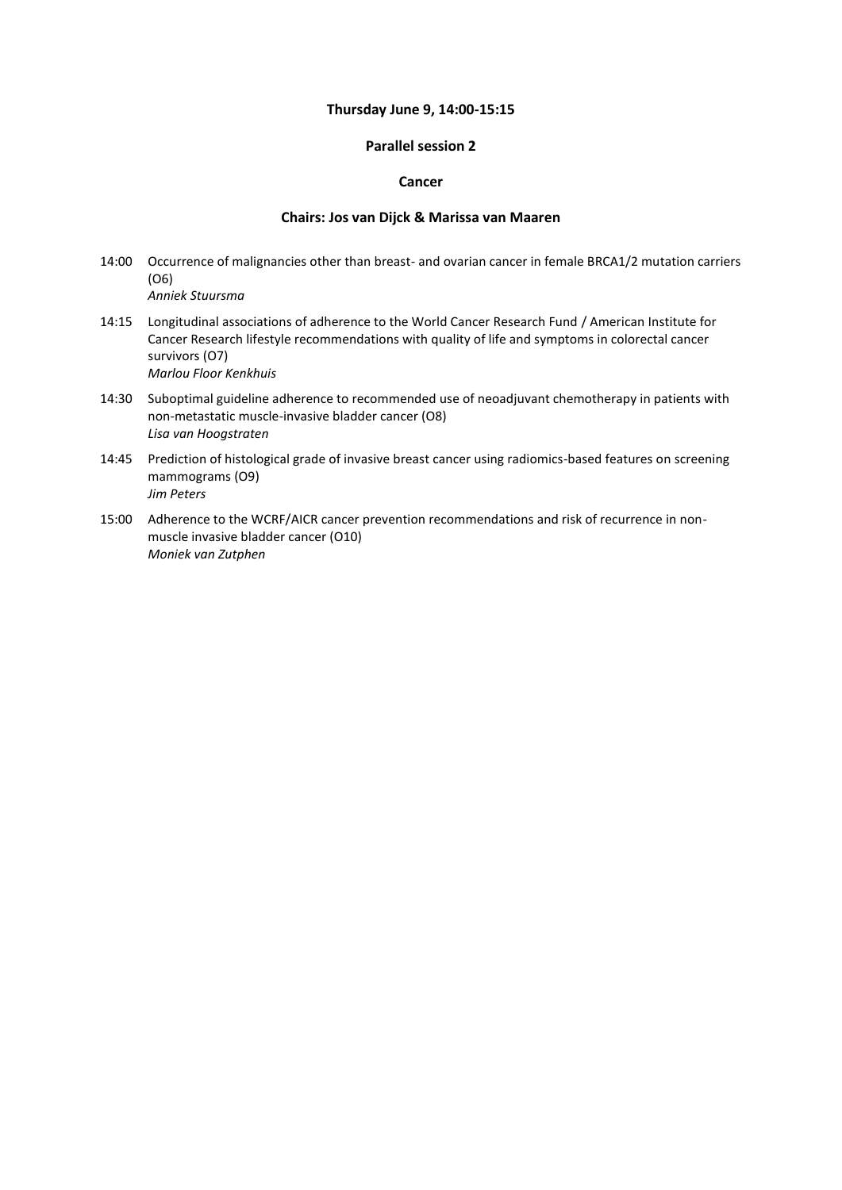#### **Thursday June 9, 14:00-15:15**

### **Parallel session 2**

### **Cancer**

### **Chairs: Jos van Dijck & Marissa van Maaren**

- 14:00 Occurrence of malignancies other than breast- and ovarian cancer in female BRCA1/2 mutation carriers (O6) *Anniek Stuursma*
- 14:15 Longitudinal associations of adherence to the World Cancer Research Fund / American Institute for Cancer Research lifestyle recommendations with quality of life and symptoms in colorectal cancer survivors (O7) *Marlou Floor Kenkhuis*
- 14:30 Suboptimal guideline adherence to recommended use of neoadjuvant chemotherapy in patients with non-metastatic muscle-invasive bladder cancer (O8) *Lisa van Hoogstraten*
- 14:45 Prediction of histological grade of invasive breast cancer using radiomics-based features on screening mammograms (O9) *Jim Peters*
- 15:00 Adherence to the WCRF/AICR cancer prevention recommendations and risk of recurrence in nonmuscle invasive bladder cancer (O10) *Moniek van Zutphen*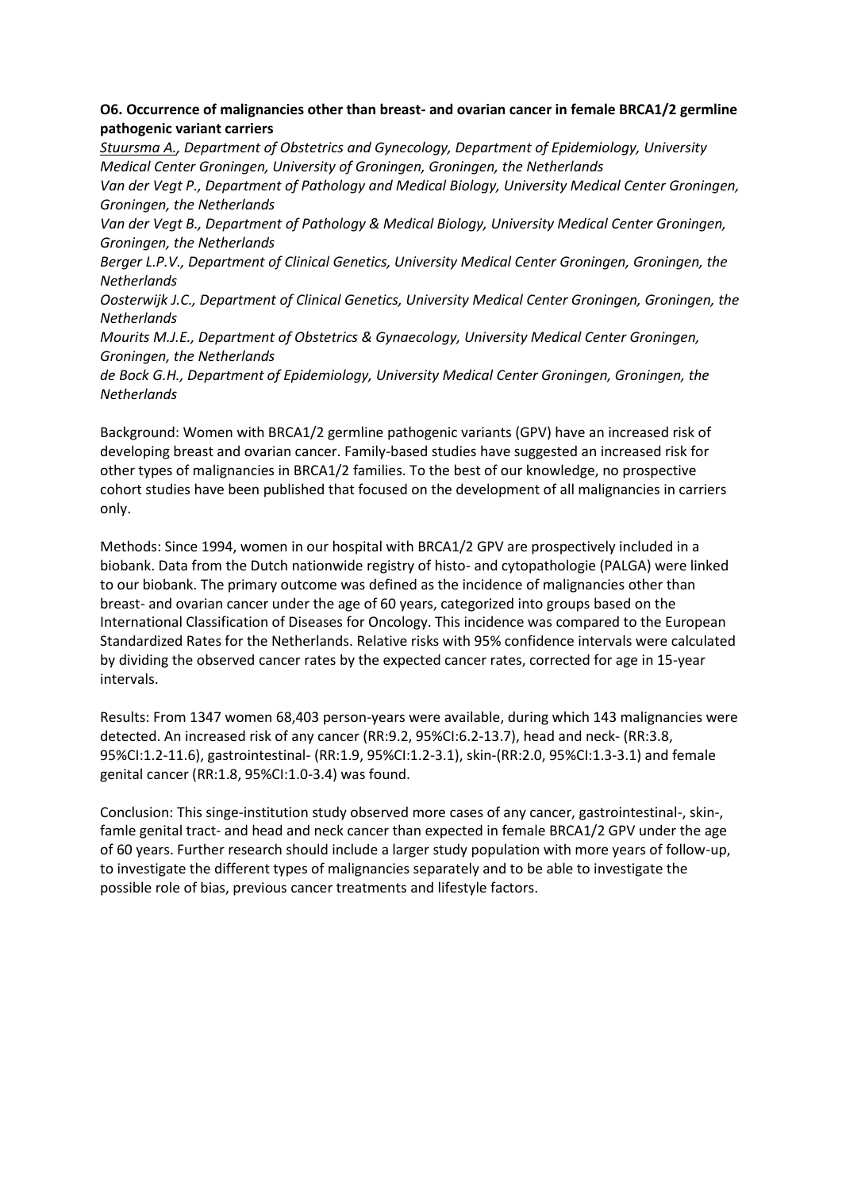# **O6. Occurrence of malignancies other than breast- and ovarian cancer in female BRCA1/2 germline pathogenic variant carriers**

*Stuursma A., Department of Obstetrics and Gynecology, Department of Epidemiology, University Medical Center Groningen, University of Groningen, Groningen, the Netherlands Van der Vegt P., Department of Pathology and Medical Biology, University Medical Center Groningen, Groningen, the Netherlands*

*Van der Vegt B., Department of Pathology & Medical Biology, University Medical Center Groningen, Groningen, the Netherlands*

*Berger L.P.V., Department of Clinical Genetics, University Medical Center Groningen, Groningen, the Netherlands*

*Oosterwijk J.C., Department of Clinical Genetics, University Medical Center Groningen, Groningen, the Netherlands*

*Mourits M.J.E., Department of Obstetrics & Gynaecology, University Medical Center Groningen, Groningen, the Netherlands*

*de Bock G.H., Department of Epidemiology, University Medical Center Groningen, Groningen, the Netherlands*

Background: Women with BRCA1/2 germline pathogenic variants (GPV) have an increased risk of developing breast and ovarian cancer. Family-based studies have suggested an increased risk for other types of malignancies in BRCA1/2 families. To the best of our knowledge, no prospective cohort studies have been published that focused on the development of all malignancies in carriers only.

Methods: Since 1994, women in our hospital with BRCA1/2 GPV are prospectively included in a biobank. Data from the Dutch nationwide registry of histo- and cytopathologie (PALGA) were linked to our biobank. The primary outcome was defined as the incidence of malignancies other than breast- and ovarian cancer under the age of 60 years, categorized into groups based on the International Classification of Diseases for Oncology. This incidence was compared to the European Standardized Rates for the Netherlands. Relative risks with 95% confidence intervals were calculated by dividing the observed cancer rates by the expected cancer rates, corrected for age in 15-year intervals.

Results: From 1347 women 68,403 person-years were available, during which 143 malignancies were detected. An increased risk of any cancer (RR:9.2, 95%CI:6.2-13.7), head and neck- (RR:3.8, 95%CI:1.2-11.6), gastrointestinal- (RR:1.9, 95%CI:1.2-3.1), skin-(RR:2.0, 95%CI:1.3-3.1) and female genital cancer (RR:1.8, 95%CI:1.0-3.4) was found.

Conclusion: This singe-institution study observed more cases of any cancer, gastrointestinal-, skin-, famle genital tract- and head and neck cancer than expected in female BRCA1/2 GPV under the age of 60 years. Further research should include a larger study population with more years of follow-up, to investigate the different types of malignancies separately and to be able to investigate the possible role of bias, previous cancer treatments and lifestyle factors.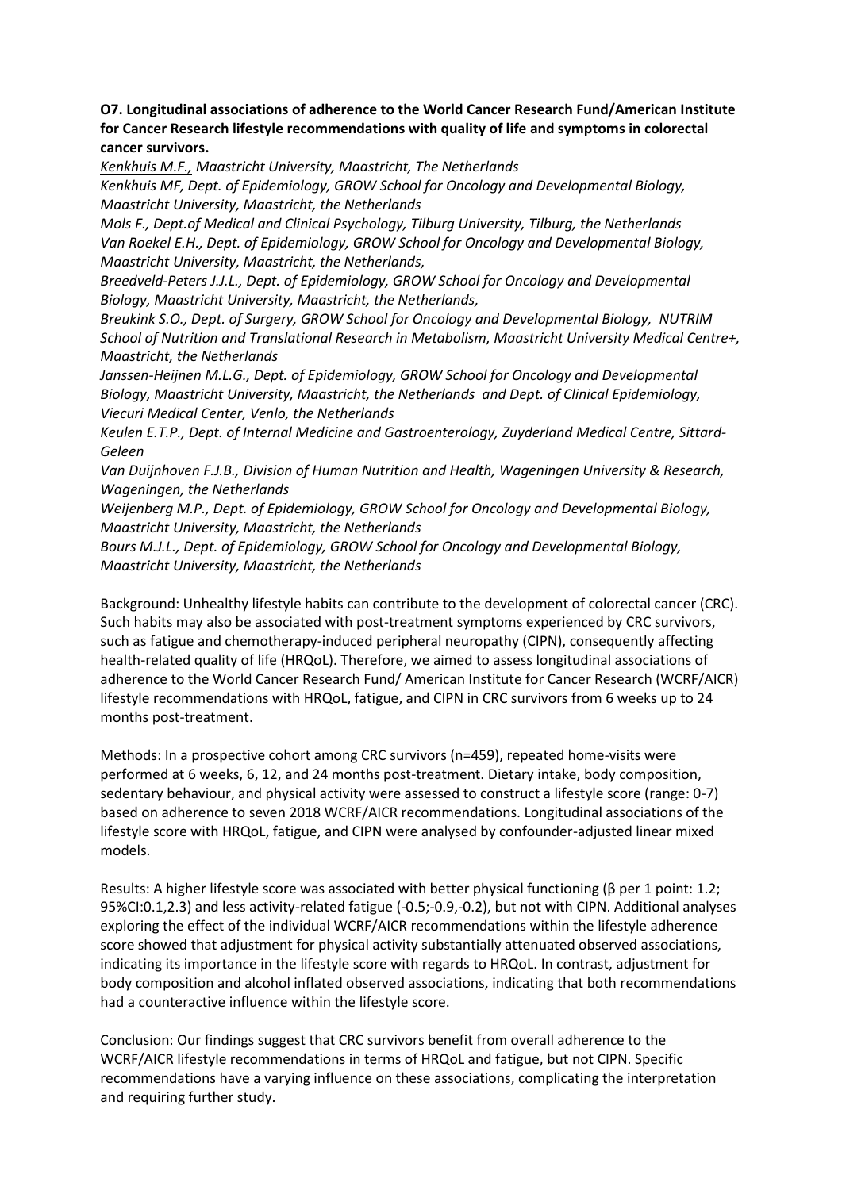## **O7. Longitudinal associations of adherence to the World Cancer Research Fund/American Institute for Cancer Research lifestyle recommendations with quality of life and symptoms in colorectal cancer survivors.**

*Kenkhuis M.F., Maastricht University, Maastricht, The Netherlands*

*Kenkhuis MF, Dept. of Epidemiology, GROW School for Oncology and Developmental Biology, Maastricht University, Maastricht, the Netherlands*

*Mols F., Dept.of Medical and Clinical Psychology, Tilburg University, Tilburg, the Netherlands Van Roekel E.H., Dept. of Epidemiology, GROW School for Oncology and Developmental Biology, Maastricht University, Maastricht, the Netherlands,* 

*Breedveld-Peters J.J.L., Dept. of Epidemiology, GROW School for Oncology and Developmental Biology, Maastricht University, Maastricht, the Netherlands,*

*Breukink S.O., Dept. of Surgery, GROW School for Oncology and Developmental Biology, NUTRIM School of Nutrition and Translational Research in Metabolism, Maastricht University Medical Centre+, Maastricht, the Netherlands*

*Janssen-Heijnen M.L.G., Dept. of Epidemiology, GROW School for Oncology and Developmental Biology, Maastricht University, Maastricht, the Netherlands and Dept. of Clinical Epidemiology, Viecuri Medical Center, Venlo, the Netherlands*

*Keulen E.T.P., Dept. of Internal Medicine and Gastroenterology, Zuyderland Medical Centre, Sittard-Geleen*

*Van Duijnhoven F.J.B., Division of Human Nutrition and Health, Wageningen University & Research, Wageningen, the Netherlands*

*Weijenberg M.P., Dept. of Epidemiology, GROW School for Oncology and Developmental Biology, Maastricht University, Maastricht, the Netherlands*

*Bours M.J.L., Dept. of Epidemiology, GROW School for Oncology and Developmental Biology, Maastricht University, Maastricht, the Netherlands*

Background: Unhealthy lifestyle habits can contribute to the development of colorectal cancer (CRC). Such habits may also be associated with post-treatment symptoms experienced by CRC survivors, such as fatigue and chemotherapy-induced peripheral neuropathy (CIPN), consequently affecting health-related quality of life (HRQoL). Therefore, we aimed to assess longitudinal associations of adherence to the World Cancer Research Fund/ American Institute for Cancer Research (WCRF/AICR) lifestyle recommendations with HRQoL, fatigue, and CIPN in CRC survivors from 6 weeks up to 24 months post-treatment.

Methods: In a prospective cohort among CRC survivors (n=459), repeated home-visits were performed at 6 weeks, 6, 12, and 24 months post-treatment. Dietary intake, body composition, sedentary behaviour, and physical activity were assessed to construct a lifestyle score (range: 0-7) based on adherence to seven 2018 WCRF/AICR recommendations. Longitudinal associations of the lifestyle score with HRQoL, fatigue, and CIPN were analysed by confounder-adjusted linear mixed models.

Results: A higher lifestyle score was associated with better physical functioning (β per 1 point: 1.2; 95%CI:0.1,2.3) and less activity-related fatigue (-0.5;-0.9,-0.2), but not with CIPN. Additional analyses exploring the effect of the individual WCRF/AICR recommendations within the lifestyle adherence score showed that adjustment for physical activity substantially attenuated observed associations, indicating its importance in the lifestyle score with regards to HRQoL. In contrast, adjustment for body composition and alcohol inflated observed associations, indicating that both recommendations had a counteractive influence within the lifestyle score.

Conclusion: Our findings suggest that CRC survivors benefit from overall adherence to the WCRF/AICR lifestyle recommendations in terms of HRQoL and fatigue, but not CIPN. Specific recommendations have a varying influence on these associations, complicating the interpretation and requiring further study.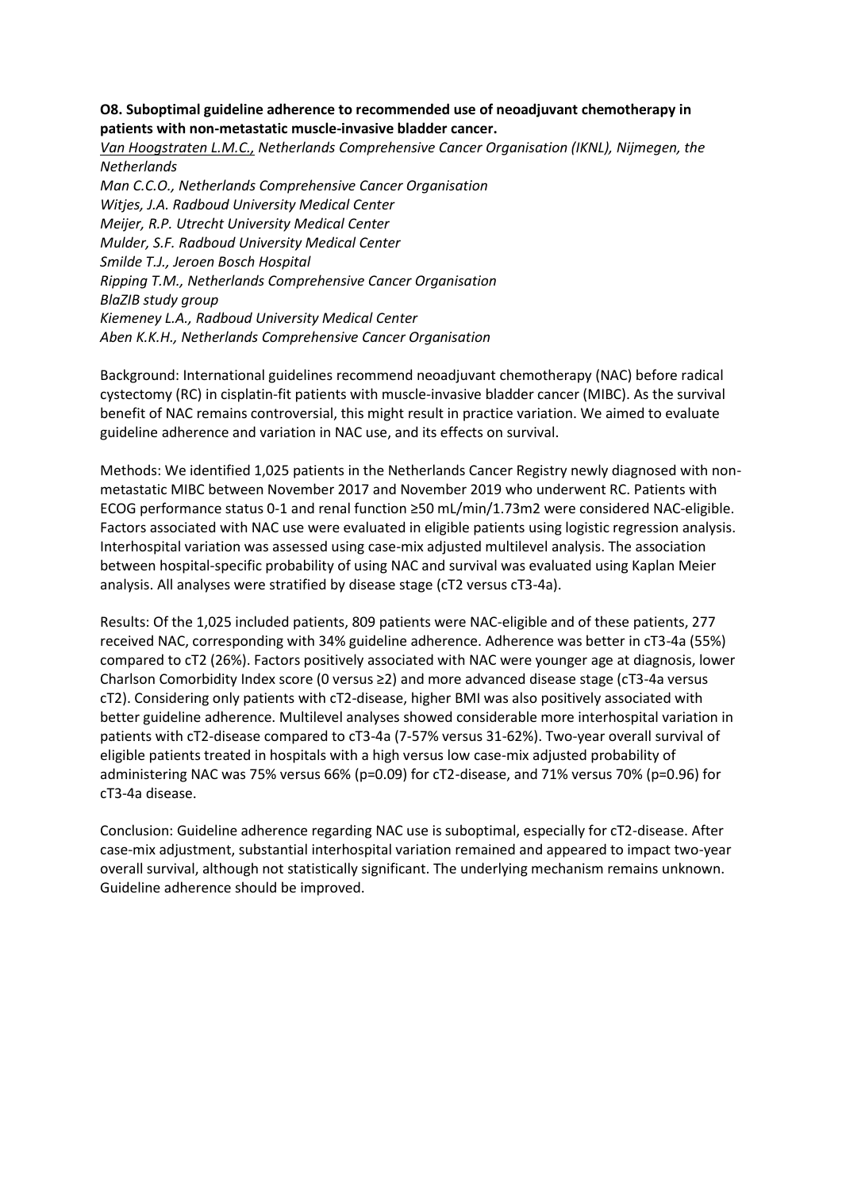## **O8. Suboptimal guideline adherence to recommended use of neoadjuvant chemotherapy in patients with non-metastatic muscle-invasive bladder cancer.**

*Van Hoogstraten L.M.C., Netherlands Comprehensive Cancer Organisation (IKNL), Nijmegen, the Netherlands Man C.C.O., Netherlands Comprehensive Cancer Organisation Witjes, J.A. Radboud University Medical Center Meijer, R.P. Utrecht University Medical Center Mulder, S.F. Radboud University Medical Center Smilde T.J., Jeroen Bosch Hospital Ripping T.M., Netherlands Comprehensive Cancer Organisation BlaZIB study group Kiemeney L.A., Radboud University Medical Center Aben K.K.H., Netherlands Comprehensive Cancer Organisation*

Background: International guidelines recommend neoadjuvant chemotherapy (NAC) before radical cystectomy (RC) in cisplatin-fit patients with muscle-invasive bladder cancer (MIBC). As the survival benefit of NAC remains controversial, this might result in practice variation. We aimed to evaluate guideline adherence and variation in NAC use, and its effects on survival.

Methods: We identified 1,025 patients in the Netherlands Cancer Registry newly diagnosed with nonmetastatic MIBC between November 2017 and November 2019 who underwent RC. Patients with ECOG performance status 0-1 and renal function ≥50 mL/min/1.73m2 were considered NAC-eligible. Factors associated with NAC use were evaluated in eligible patients using logistic regression analysis. Interhospital variation was assessed using case-mix adjusted multilevel analysis. The association between hospital-specific probability of using NAC and survival was evaluated using Kaplan Meier analysis. All analyses were stratified by disease stage (cT2 versus cT3-4a).

Results: Of the 1,025 included patients, 809 patients were NAC-eligible and of these patients, 277 received NAC, corresponding with 34% guideline adherence. Adherence was better in cT3-4a (55%) compared to cT2 (26%). Factors positively associated with NAC were younger age at diagnosis, lower Charlson Comorbidity Index score (0 versus ≥2) and more advanced disease stage (cT3-4a versus cT2). Considering only patients with cT2-disease, higher BMI was also positively associated with better guideline adherence. Multilevel analyses showed considerable more interhospital variation in patients with cT2-disease compared to cT3-4a (7-57% versus 31-62%). Two-year overall survival of eligible patients treated in hospitals with a high versus low case-mix adjusted probability of administering NAC was 75% versus 66% (p=0.09) for cT2-disease, and 71% versus 70% (p=0.96) for cT3-4a disease.

Conclusion: Guideline adherence regarding NAC use is suboptimal, especially for cT2-disease. After case-mix adjustment, substantial interhospital variation remained and appeared to impact two-year overall survival, although not statistically significant. The underlying mechanism remains unknown. Guideline adherence should be improved.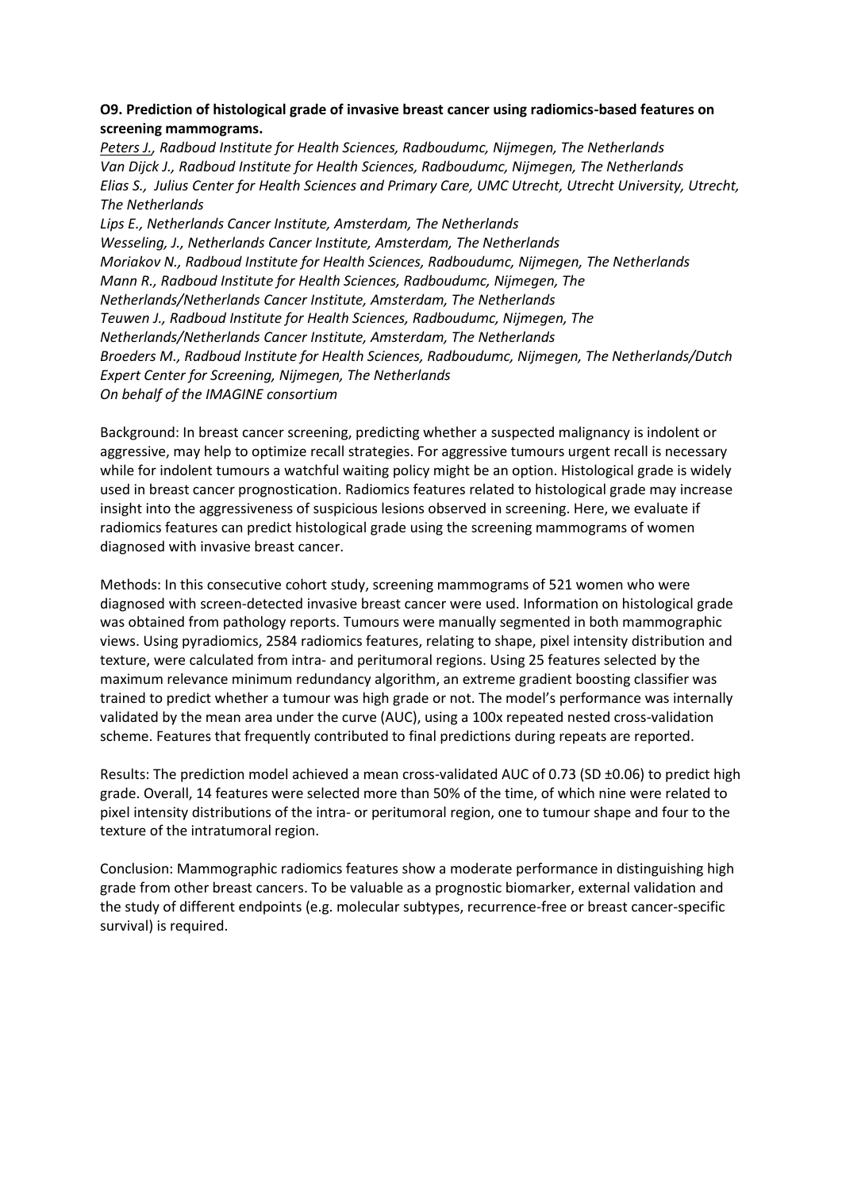## **O9. Prediction of histological grade of invasive breast cancer using radiomics-based features on screening mammograms.**

*Peters J., Radboud Institute for Health Sciences, Radboudumc, Nijmegen, The Netherlands Van Dijck J., Radboud Institute for Health Sciences, Radboudumc, Nijmegen, The Netherlands Elias S., Julius Center for Health Sciences and Primary Care, UMC Utrecht, Utrecht University, Utrecht, The Netherlands Lips E., Netherlands Cancer Institute, Amsterdam, The Netherlands Wesseling, J., Netherlands Cancer Institute, Amsterdam, The Netherlands Moriakov N., Radboud Institute for Health Sciences, Radboudumc, Nijmegen, The Netherlands Mann R., Radboud Institute for Health Sciences, Radboudumc, Nijmegen, The Netherlands/Netherlands Cancer Institute, Amsterdam, The Netherlands Teuwen J., Radboud Institute for Health Sciences, Radboudumc, Nijmegen, The Netherlands/Netherlands Cancer Institute, Amsterdam, The Netherlands Broeders M., Radboud Institute for Health Sciences, Radboudumc, Nijmegen, The Netherlands/Dutch Expert Center for Screening, Nijmegen, The Netherlands On behalf of the IMAGINE consortium*

Background: In breast cancer screening, predicting whether a suspected malignancy is indolent or aggressive, may help to optimize recall strategies. For aggressive tumours urgent recall is necessary while for indolent tumours a watchful waiting policy might be an option. Histological grade is widely used in breast cancer prognostication. Radiomics features related to histological grade may increase insight into the aggressiveness of suspicious lesions observed in screening. Here, we evaluate if radiomics features can predict histological grade using the screening mammograms of women diagnosed with invasive breast cancer.

Methods: In this consecutive cohort study, screening mammograms of 521 women who were diagnosed with screen-detected invasive breast cancer were used. Information on histological grade was obtained from pathology reports. Tumours were manually segmented in both mammographic views. Using pyradiomics, 2584 radiomics features, relating to shape, pixel intensity distribution and texture, were calculated from intra- and peritumoral regions. Using 25 features selected by the maximum relevance minimum redundancy algorithm, an extreme gradient boosting classifier was trained to predict whether a tumour was high grade or not. The model's performance was internally validated by the mean area under the curve (AUC), using a 100x repeated nested cross-validation scheme. Features that frequently contributed to final predictions during repeats are reported.

Results: The prediction model achieved a mean cross-validated AUC of 0.73 (SD ±0.06) to predict high grade. Overall, 14 features were selected more than 50% of the time, of which nine were related to pixel intensity distributions of the intra- or peritumoral region, one to tumour shape and four to the texture of the intratumoral region.

Conclusion: Mammographic radiomics features show a moderate performance in distinguishing high grade from other breast cancers. To be valuable as a prognostic biomarker, external validation and the study of different endpoints (e.g. molecular subtypes, recurrence-free or breast cancer-specific survival) is required.